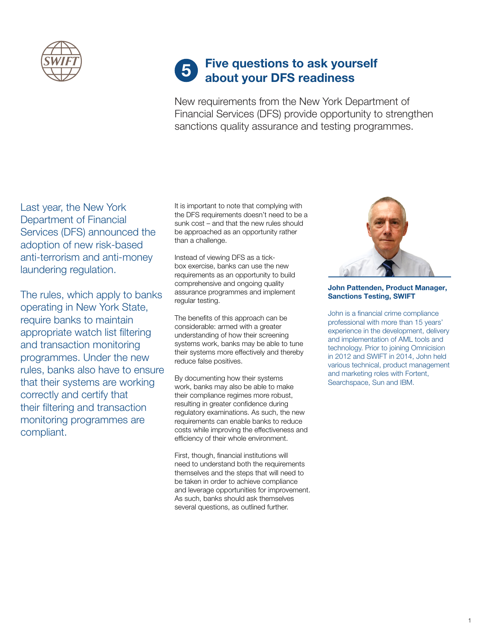

# Five questions to ask yourself **5** Five questions to ask your<br>about your DFS readiness

New requirements from the New York Department of Financial Services (DFS) provide opportunity to strengthen sanctions quality assurance and testing programmes.

Last year, the New York Department of Financial Services (DFS) announced the adoption of new risk-based anti-terrorism and anti-money laundering regulation.

The rules, which apply to banks operating in New York State, require banks to maintain appropriate watch list filtering and transaction monitoring programmes. Under the new rules, banks also have to ensure that their systems are working correctly and certify that their filtering and transaction monitoring programmes are compliant.

It is important to note that complying with the DFS requirements doesn't need to be a sunk cost – and that the new rules should be approached as an opportunity rather than a challenge.

Instead of viewing DFS as a tickbox exercise, banks can use the new requirements as an opportunity to build comprehensive and ongoing quality assurance programmes and implement regular testing.

The benefits of this approach can be considerable: armed with a greater understanding of how their screening systems work, banks may be able to tune their systems more effectively and thereby reduce false positives.

By documenting how their systems work, banks may also be able to make their compliance regimes more robust, resulting in greater confidence during regulatory examinations. As such, the new requirements can enable banks to reduce costs while improving the effectiveness and efficiency of their whole environment.

First, though, financial institutions will need to understand both the requirements themselves and the steps that will need to be taken in order to achieve compliance and leverage opportunities for improvement. As such, banks should ask themselves several questions, as outlined further.



## John Pattenden, Product Manager, Sanctions Testing, SWIFT

John is a financial crime compliance professional with more than 15 years' experience in the development, delivery and implementation of AML tools and technology. Prior to joining Omnicision in 2012 and SWIFT in 2014, John held various technical, product management and marketing roles with Fortent, Searchspace, Sun and IBM.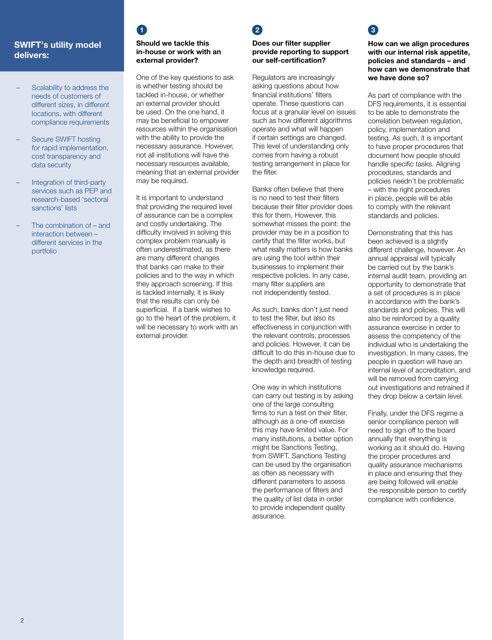## SWIFT's utility model delivers:

- Scalability to address the needs of customers of different sizes, in different locations, with different compliance requirements
- Secure SWIFT hosting for rapid implementation, cost transparency and data security
- Integration of third-party services such as PEP and research-based 'sectoral sanctions' lists
- The combination of and interaction between – different services in the portfolio

## Should we tackle this in-house or work with an external provider?

One of the key questions to ask is whether testing should be tackled in-house, or whether an external provider should be used. On the one hand, it may be beneficial to empower resources within the organisation with the ability to provide the necessary assurance. However, not all institutions will have the necessary resources available, meaning that an external provider may be required.

It is important to understand that providing the required level of assurance can be a complex and costly undertaking. The difficulty involved in solving this complex problem manually is often underestimated, as there are many different changes that banks can make to their policies and to the way in which they approach screening. If this is tackled internally, it is likely that the results can only be superficial. If a bank wishes to go to the heart of the problem, it will be necessary to work with an external provider.

# $\frac{1}{2}$  3

## Does our filter supplier provide reporting to support our self-certification?

Regulators are increasingly asking questions about how financial institutions' filters operate. These questions can focus at a granular level on issues such as how different algorithms operate and what will happen if certain settings are changed. This level of understanding only comes from having a robust testing arrangement in place for the filter.

Banks often believe that there is no need to test their filters because their filter provider does this for them. However, this somewhat misses the point: the provider may be in a position to certify that the filter works, but what really matters is how banks are using the tool within their businesses to implement their respective policies. In any case, many filter suppliers are not independently tested.

As such, banks don't just need to test the filter, but also its effectiveness in conjunction with the relevant controls, processes and policies. However, it can be difficult to do this in-house due to the depth and breadth of testing knowledge required.

One way in which institutions can carry out testing is by asking one of the large consulting firms to run a test on their filter, although as a one-off exercise this may have limited value. For many institutions, a better option might be Sanctions Testing, from SWIFT. Sanctions Testing can be used by the organisation as often as necessary with different parameters to assess the performance of filters and the quality of list data in order to provide independent quality assurance.

How can we align procedures with our internal risk appetite, policies and standards – and how can we demonstrate that we have done so?

As part of compliance with the DFS requirements, it is essential to be able to demonstrate the correlation between regulation, policy, implementation and testing. As such, it is important to have proper procedures that document how people should handle specific tasks. Aligning procedures, standards and policies needn't be problematic – with the right procedures in place, people will be able to comply with the relevant standards and policies.

Demonstrating that this has been achieved is a slightly different challenge, however. An annual appraisal will typically be carried out by the bank's internal audit team, providing an opportunity to demonstrate that a set of procedures is in place in accordance with the bank's standards and policies. This will also be reinforced by a quality assurance exercise in order to assess the competency of the individual who is undertaking the investigation. In many cases, the people in question will have an internal level of accreditation, and will be removed from carrying out investigations and retrained if they drop below a certain level.

Finally, under the DFS regime a senior compliance person will need to sign off to the board annually that everything is working as it should do. Having the proper procedures and quality assurance mechanisms in place and ensuring that they are being followed will enable the responsible person to certify compliance with confidence.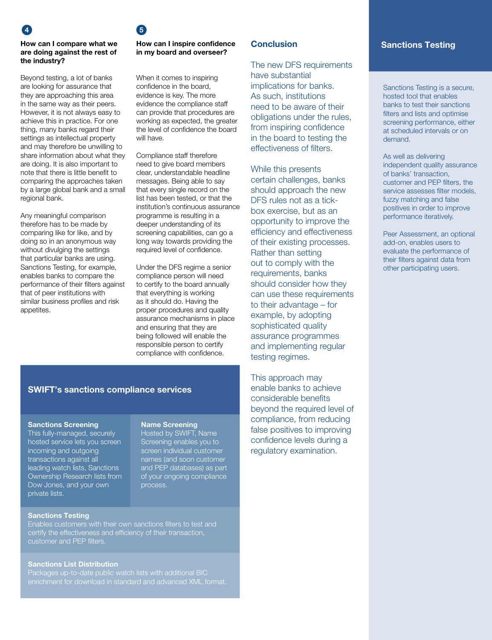### How can I compare what we are doing against the rest of the industry?

Beyond testing, a lot of banks are looking for assurance that they are approaching this area in the same way as their peers. However, it is not always easy to achieve this in practice. For one thing, many banks regard their settings as intellectual property and may therefore be unwilling to share information about what they are doing. It is also important to note that there is little benefit to comparing the approaches taken by a large global bank and a small regional bank.

Any meaningful comparison therefore has to be made by comparing like for like, and by doing so in an anonymous way without divulging the settings that particular banks are using. Sanctions Testing, for example, enables banks to compare the performance of their filters against that of peer institutions with similar business profiles and risk appetites.

# $\overline{a}$  4  $\overline{b}$  5

## How can I inspire confidence in my board and overseer?

When it comes to inspiring confidence in the board, evidence is key. The more evidence the compliance staff can provide that procedures are working as expected, the greater the level of confidence the board will have.

Compliance staff therefore need to give board members clear, understandable headline messages. Being able to say that every single record on the list has been tested, or that the institution's continuous assurance programme is resulting in a deeper understanding of its screening capabilities, can go a long way towards providing the required level of confidence.

Under the DFS regime a senior compliance person will need to certify to the board annually that everything is working as it should do. Having the proper procedures and quality assurance mechanisms in place and ensuring that they are being followed will enable the responsible person to certify compliance with confidence.

# Conclusion

The new DFS requirements have substantial implications for banks. As such, institutions need to be aware of their obligations under the rules, from inspiring confidence in the board to testing the effectiveness of filters.

While this presents certain challenges, banks should approach the new DFS rules not as a tickbox exercise, but as an opportunity to improve the efficiency and effectiveness of their existing processes. Rather than setting out to comply with the requirements, banks should consider how they can use these requirements to their advantage – for example, by adopting sophisticated quality assurance programmes and implementing regular testing regimes.

This approach may enable banks to achieve considerable benefits beyond the required level of compliance, from reducing false positives to improving confidence levels during a regulatory examination.

# Sanctions Testing

Sanctions Testing is a secure, hosted tool that enables banks to test their sanctions filters and lists and optimise screening performance, either at scheduled intervals or on demand.

As well as delivering independent quality assurance of banks' transaction, customer and PEP filters, the service assesses filter models, fuzzy matching and false positives in order to improve performance iteratively.

Peer Assessment, an optional add-on, enables users to evaluate the performance of their filters against data from other participating users.

## SWIFT's sanctions compliance services

### Sanctions Screening

This fully-managed, securely hosted service lets you screen incoming and outgoing transactions against all leading watch lists, Sanctions Ownership Research lists from Dow Jones, and your own private lists.

## Name Screening

Hosted by SWIFT, Name Screening enables you to screen individual customer names (and soon customer and PEP databases) as part of your ongoing compliance

### Sanctions Testing

Enables customers with their own sanctions filters to test and certify the effectiveness and efficiency of their transaction, customer and PEP filters.

## Sanctions List Distribution

enrichment for download in standard and advanced XML format.